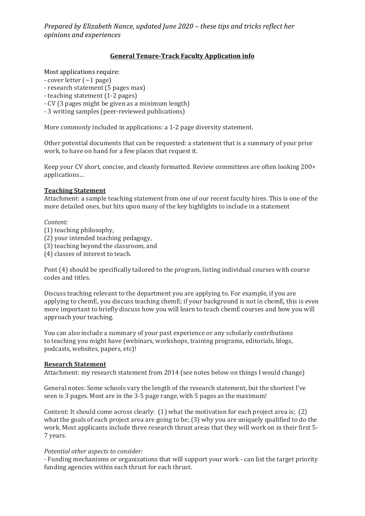*Prepared by Elizabeth Nance, updated June 2020 – these tips and tricks reflect her opinions and experiences*

### **General Tenure-Track Faculty Application info**

Most applications require:

- $-$  cover letter  $(-1)$  page)
- research statement (5 pages max)
- teaching statement (1-2 pages)
- CV (3 pages might be given as a minimum length)
- 3 writing samples (peer-reviewed publications)

More commonly included in applications: a 1-2 page diversity statement.

Other potential documents that can be requested: a statement that is a summary of your prior work, to have on hand for a few places that request it.

Keep your CV short, concise, and cleanly formatted. Review committees are often looking 200+ applications…

### **Teaching Statement**

Attachment: a sample teaching statement from one of our recent faculty hires. This is one of the more detailed ones, but hits upon many of the key highlights to include in a statement

#### *Content:*

- (1) teaching philosophy,
- (2) your intended teaching pedagogy,
- (3) teaching beyond the classroom, and
- (4) classes of interest to teach.

Pont (4) should be specifically tailored to the program, listing individual courses with course codes and titles.

Discuss teaching relevant to the department you are applying to. For example, if you are applying to chemE, you discuss teaching chemE; if your background is not in chemE, this is even more important to briefly discuss how you will learn to teach chemE courses and how you will approach your teaching.

You can also include a summary of your past experience or any scholarly contributions to teaching you might have (webinars, workshops, training programs, editorials, blogs, podcasts, websites, papers, etc)!

#### **Research Statement**

Attachment: my research statement from 2014 (see notes below on things I would change)

General notes: Some schools vary the length of the research statement, but the shortest I've seen is 3 pages. Most are in the 3-5 page range, with 5 pages as the maximum!

Content: It should come across clearly: (1) what the motivation for each project area is; (2) what the goals of each project area are going to be; (3) why you are uniquely qualified to do the work. Most applicants include three research thrust areas that they will work on in their first 5- 7 years.

#### *Potential other aspects to consider:*

- Funding mechanisms or organizations that will support your work - can list the target priority funding agencies within each thrust for each thrust.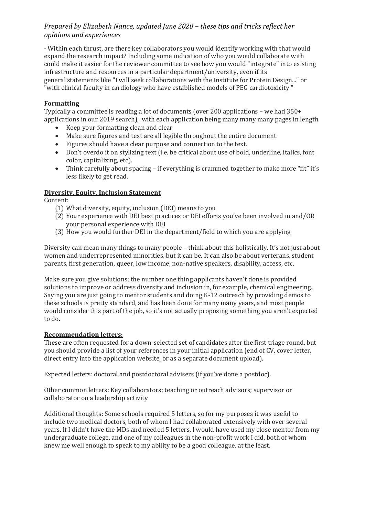## *Prepared by Elizabeth Nance, updated June 2020 – these tips and tricks reflect her opinions and experiences*

- Within each thrust, are there key collaborators you would identify working with that would expand the research impact? Including some indication of who you would collaborate with could make it easier for the reviewer committee to see how you would "integrate" into existing infrastructure and resources in a particular department/university, even if its general statements like "I will seek collaborations with the Institute for Protein Design..." or "with clinical faculty in cardiology who have established models of PEG cardiotoxicity."

## **Formatting**

Typically a committee is reading a lot of documents (over 200 applications – we had 350+ applications in our 2019 search), with each application being many many many pages in length.

- Keep your formatting clean and clear
- Make sure figures and text are all legible throughout the entire document.
- Figures should have a clear purpose and connection to the text.
- Don't overdo it on stylizing text (i.e. be critical about use of bold, underline, italics, font color, capitalizing, etc).
- Think carefully about spacing if everything is crammed together to make more "fit" it's less likely to get read.

## **Diversity, Equity, Inclusion Statement**

Content:

- (1) What diversity, equity, inclusion (DEI) means to you
- (2) Your experience with DEI best practices or DEI efforts you've been involved in and/OR your personal experience with DEI
- (3) How you would further DEI in the department/field to which you are applying

Diversity can mean many things to many people – think about this holistically. It's not just about women and underrepresented minorities, but it can be. It can also be about verterans, student parents, first generation, queer, low income, non-native speakers, disability, access, etc.

Make sure you give solutions; the number one thing applicants haven't done is provided solutions to improve or address diversity and inclusion in, for example, chemical engineering. Saying you are just going to mentor students and doing K-12 outreach by providing demos to these schools is pretty standard, and has been done for many many years, and most people would consider this part of the job, so it's not actually proposing something you aren't expected to do.

## **Recommendation letters:**

These are often requested for a down-selected set of candidates after the first triage round, but you should provide a list of your references in your initial application (end of CV, cover letter, direct entry into the application website, or as a separate document upload).

Expected letters: doctoral and postdoctoral advisers (if you've done a postdoc).

Other common letters: Key collaborators; teaching or outreach advisors; supervisor or collaborator on a leadership activity

Additional thoughts: Some schools required 5 letters, so for my purposes it was useful to include two medical doctors, both of whom I had collaborated extensively with over several years. If I didn't have the MDs and needed 5 letters, I would have used my close mentor from my undergraduate college, and one of my colleagues in the non-profit work I did, both of whom knew me well enough to speak to my ability to be a good colleague, at the least.